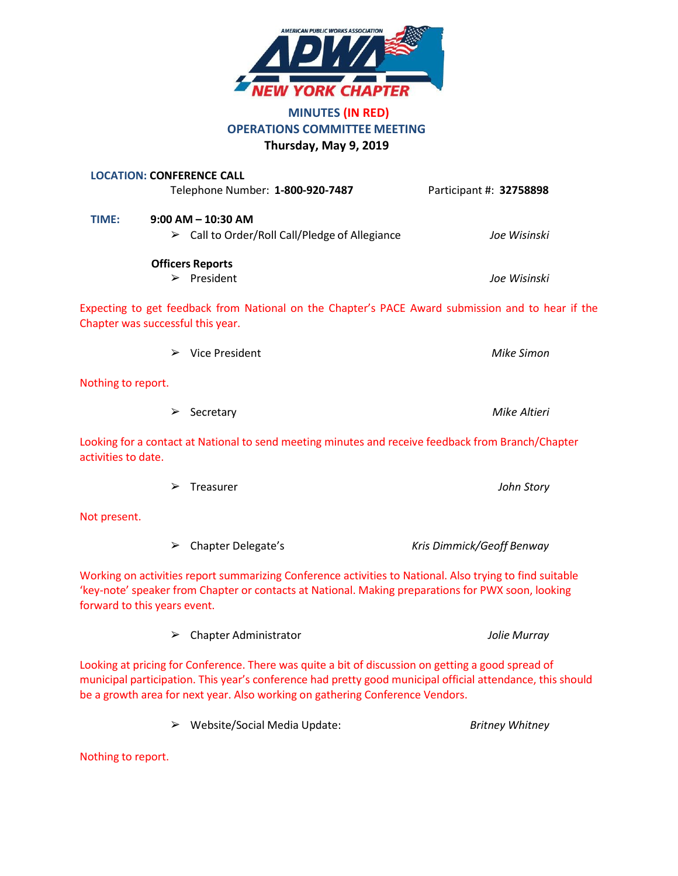

# **MINUTES (IN RED) OPERATIONS COMMITTEE MEETING Thursday, May 9, 2019**

|                     | <b>LOCATION: CONFERENCE CALL</b><br>Telephone Number: 1-800-920-7487                                                                                                                                                                           | Participant #: 32758898   |
|---------------------|------------------------------------------------------------------------------------------------------------------------------------------------------------------------------------------------------------------------------------------------|---------------------------|
| TIME:               | $9:00$ AM $-$ 10:30 AM<br>$\triangleright$ Call to Order/Roll Call/Pledge of Allegiance                                                                                                                                                        | Joe Wisinski              |
|                     | <b>Officers Reports</b><br>$\triangleright$ President                                                                                                                                                                                          | Joe Wisinski              |
|                     | Expecting to get feedback from National on the Chapter's PACE Award submission and to hear if the<br>Chapter was successful this year.                                                                                                         |                           |
|                     | Vice President<br>➤                                                                                                                                                                                                                            | <b>Mike Simon</b>         |
| Nothing to report.  |                                                                                                                                                                                                                                                |                           |
|                     | Secretary<br>➤                                                                                                                                                                                                                                 | Mike Altieri              |
| activities to date. | Looking for a contact at National to send meeting minutes and receive feedback from Branch/Chapter                                                                                                                                             |                           |
|                     | Treasurer<br>➤                                                                                                                                                                                                                                 | John Story                |
| Not present.        |                                                                                                                                                                                                                                                |                           |
|                     | <b>Chapter Delegate's</b><br>➤                                                                                                                                                                                                                 | Kris Dimmick/Geoff Benway |
|                     | Working on activities report summarizing Conference activities to National. Also trying to find suitable<br>'key-note' speaker from Chapter or contacts at National. Making preparations for PWX soon, looking<br>forward to this years event. |                           |
|                     | <b>Chapter Administrator</b><br>➤                                                                                                                                                                                                              | Jolie Murray              |

Looking at pricing for Conference. There was quite a bit of discussion on getting a good spread of municipal participation. This year's conference had pretty good municipal official attendance, this should be a growth area for next year. Also working on gathering Conference Vendors.

➢ Website/Social Media Update: *Britney Whitney*

Nothing to report.